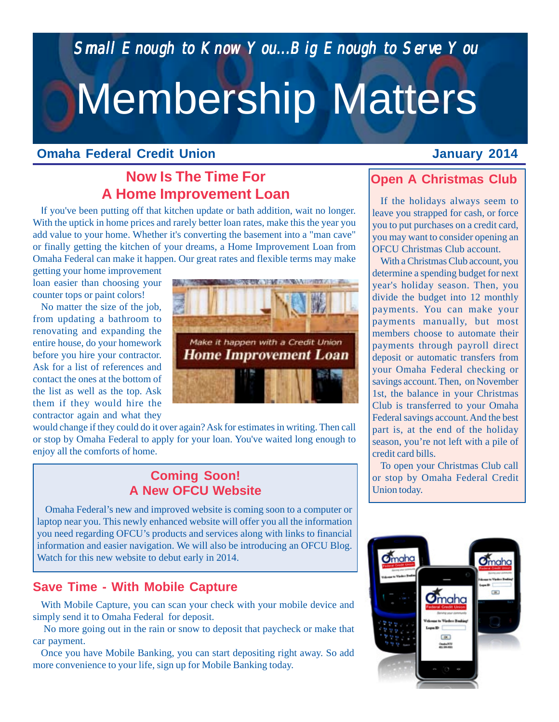*Small Enough to Know You...Big Enough to Serve You Small Enough to You...Big Enough to Serve You*

# Membership Matters

#### **Omaha Federal Credit Union**

## **Now Is The Time For A Home Improvement Loan**

If you've been putting off that kitchen update or bath addition, wait no longer. With the uptick in home prices and rarely better loan rates, make this the year you add value to your home. Whether it's converting the basement into a "man cave" or finally getting the kitchen of your dreams, a Home Improvement Loan from Omaha Federal can make it happen. Our great rates and flexible terms may make

getting your home improvement loan easier than choosing your counter tops or paint colors!

No matter the size of the job, from updating a bathroom to renovating and expanding the entire house, do your homework before you hire your contractor. Ask for a list of references and contact the ones at the bottom of the list as well as the top. Ask them if they would hire the contractor again and what they



would change if they could do it over again? Ask for estimates in writing. Then call or stop by Omaha Federal to apply for your loan. You've waited long enough to enjoy all the comforts of home.

#### **Coming Soon! A New OFCU Website**

Omaha Federal's new and improved website is coming soon to a computer or laptop near you. This newly enhanced website will offer you all the information you need regarding OFCU's products and services along with links to financial information and easier navigation. We will also be introducing an OFCU Blog. Watch for this new website to debut early in 2014.

#### **Save Time - With Mobile Capture**

With Mobile Capture, you can scan your check with your mobile device and simply send it to Omaha Federal for deposit.

 No more going out in the rain or snow to deposit that paycheck or make that car payment.

Once you have Mobile Banking, you can start depositing right away. So add more convenience to your life, sign up for Mobile Banking today.

#### **January 2014**

#### **Open A Christmas Club**

If the holidays always seem to leave you strapped for cash, or force you to put purchases on a credit card, you may want to consider opening an OFCU Christmas Club account.

With a Christmas Club account, you determine a spending budget for next year's holiday season. Then, you divide the budget into 12 monthly payments. You can make your payments manually, but most members choose to automate their payments through payroll direct deposit or automatic transfers from your Omaha Federal checking or savings account. Then, on November 1st, the balance in your Christmas Club is transferred to your Omaha Federal savings account. And the best part is, at the end of the holiday season, you're not left with a pile of credit card bills.

To open your Christmas Club call or stop by Omaha Federal Credit Union today.